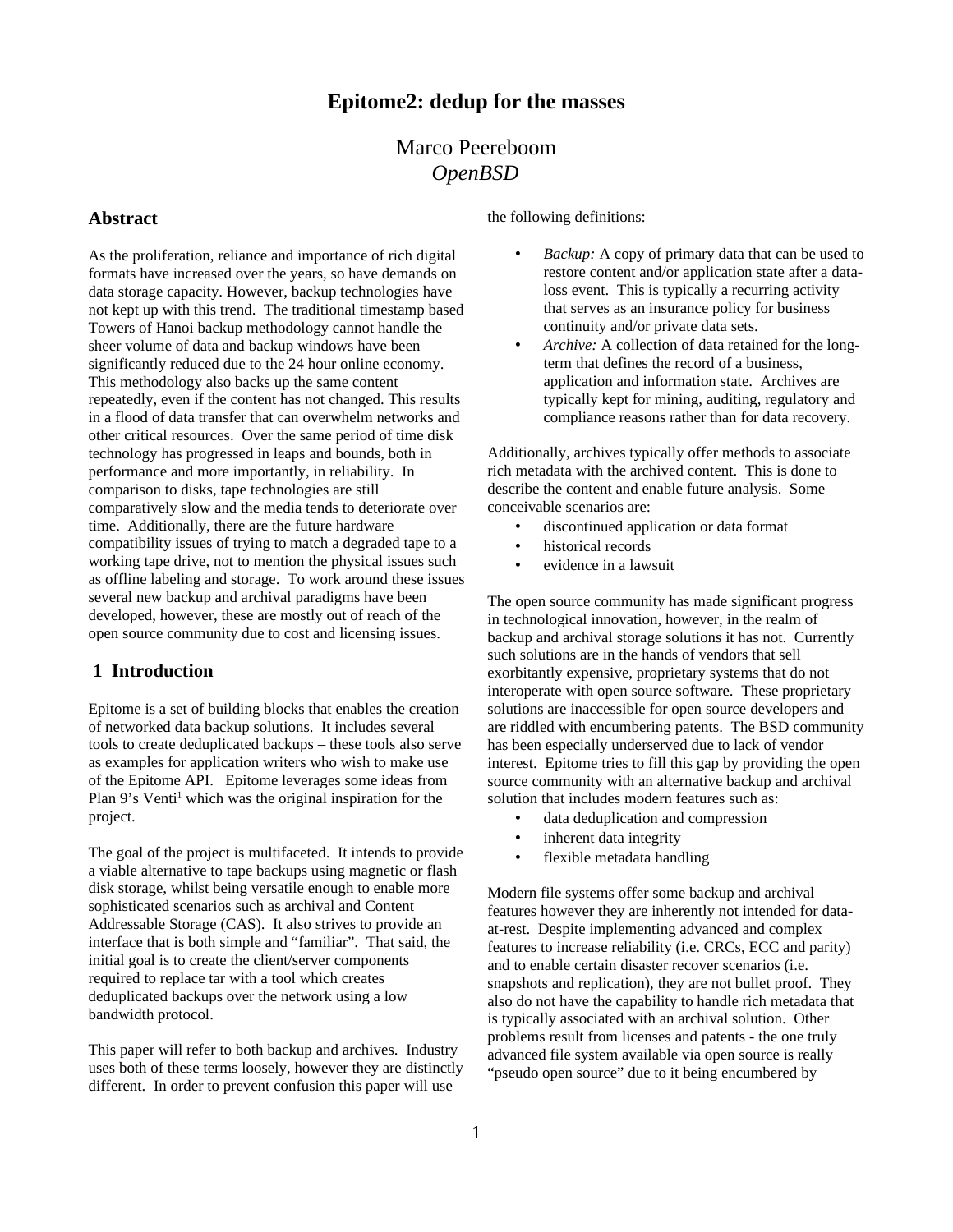# **Epitome2: dedup for the masses**

# Marco Peereboom *OpenBSD*

#### **Abstract**

As the proliferation, reliance and importance of rich digital formats have increased over the years, so have demands on data storage capacity. However, backup technologies have not kept up with this trend. The traditional timestamp based Towers of Hanoi backup methodology cannot handle the sheer volume of data and backup windows have been significantly reduced due to the 24 hour online economy. This methodology also backs up the same content repeatedly, even if the content has not changed. This results in a flood of data transfer that can overwhelm networks and other critical resources. Over the same period of time disk technology has progressed in leaps and bounds, both in performance and more importantly, in reliability. In comparison to disks, tape technologies are still comparatively slow and the media tends to deteriorate over time. Additionally, there are the future hardware compatibility issues of trying to match a degraded tape to a working tape drive, not to mention the physical issues such as offline labeling and storage. To work around these issues several new backup and archival paradigms have been developed, however, these are mostly out of reach of the open source community due to cost and licensing issues.

#### **1 Introduction**

Epitome is a set of building blocks that enables the creation of networked data backup solutions. It includes several tools to create deduplicated backups – these tools also serve as examples for application writers who wish to make use of the Epitome API. Epitome leverages some ideas from Plan 9's Venti<sup>[1](#page-11-0)</sup> which was the original inspiration for the project.

The goal of the project is multifaceted. It intends to provide a viable alternative to tape backups using magnetic or flash disk storage, whilst being versatile enough to enable more sophisticated scenarios such as archival and Content Addressable Storage (CAS). It also strives to provide an interface that is both simple and "familiar". That said, the initial goal is to create the client/server components required to replace tar with a tool which creates deduplicated backups over the network using a low bandwidth protocol.

This paper will refer to both backup and archives. Industry uses both of these terms loosely, however they are distinctly different. In order to prevent confusion this paper will use

the following definitions:

- *Backup:* A copy of primary data that can be used to restore content and/or application state after a dataloss event. This is typically a recurring activity that serves as an insurance policy for business continuity and/or private data sets.
- *Archive:* A collection of data retained for the longterm that defines the record of a business, application and information state. Archives are typically kept for mining, auditing, regulatory and compliance reasons rather than for data recovery.

Additionally, archives typically offer methods to associate rich metadata with the archived content. This is done to describe the content and enable future analysis. Some conceivable scenarios are:

- discontinued application or data format
- historical records
- evidence in a lawsuit

The open source community has made significant progress in technological innovation, however, in the realm of backup and archival storage solutions it has not. Currently such solutions are in the hands of vendors that sell exorbitantly expensive, proprietary systems that do not interoperate with open source software. These proprietary solutions are inaccessible for open source developers and are riddled with encumbering patents. The BSD community has been especially underserved due to lack of vendor interest. Epitome tries to fill this gap by providing the open source community with an alternative backup and archival solution that includes modern features such as:

- data deduplication and compression
- inherent data integrity
- flexible metadata handling

Modern file systems offer some backup and archival features however they are inherently not intended for dataat-rest. Despite implementing advanced and complex features to increase reliability (i.e. CRCs, ECC and parity) and to enable certain disaster recover scenarios (i.e. snapshots and replication), they are not bullet proof. They also do not have the capability to handle rich metadata that is typically associated with an archival solution. Other problems result from licenses and patents - the one truly advanced file system available via open source is really "pseudo open source" due to it being encumbered by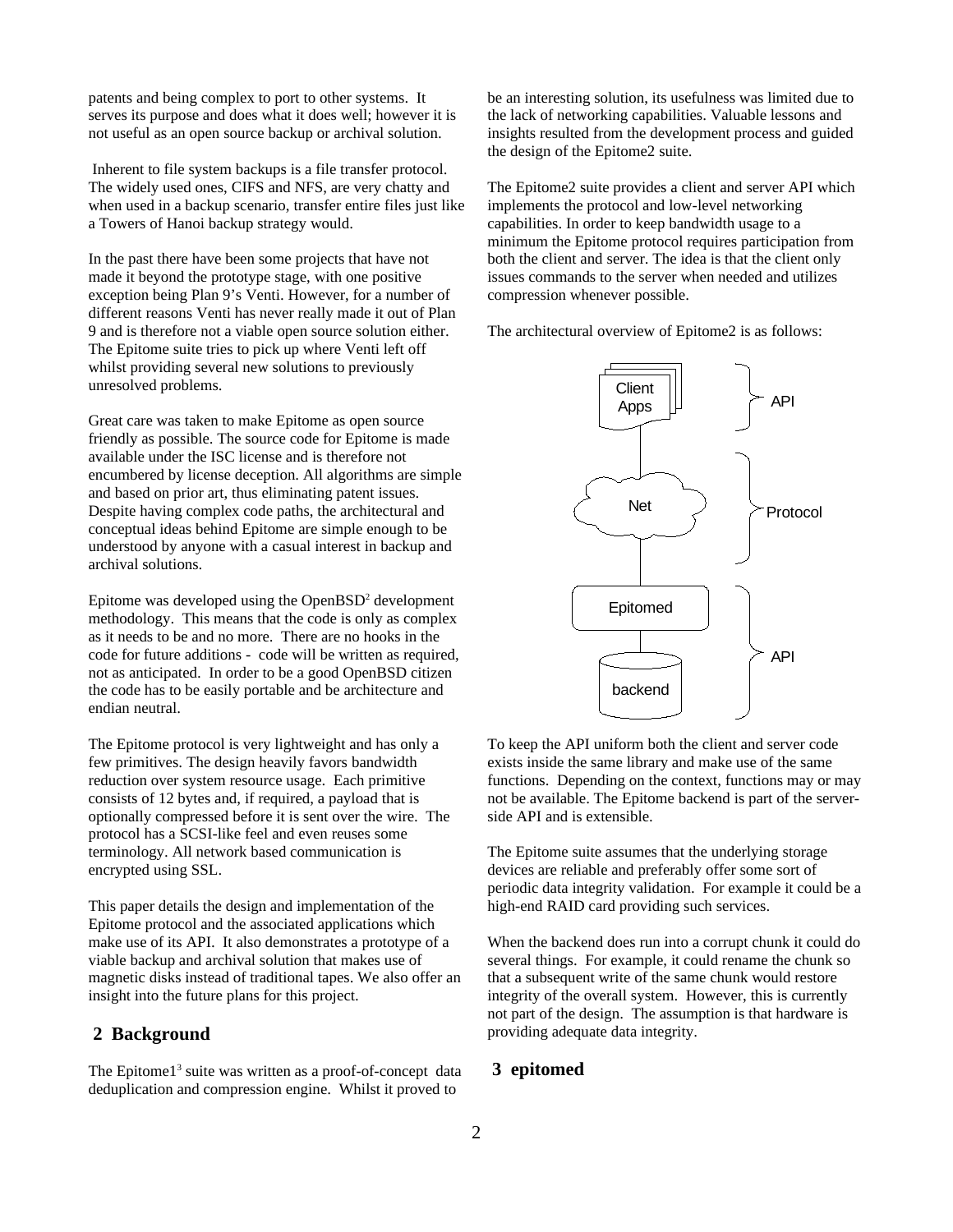patents and being complex to port to other systems. It serves its purpose and does what it does well; however it is not useful as an open source backup or archival solution.

 Inherent to file system backups is a file transfer protocol. The widely used ones, CIFS and NFS, are very chatty and when used in a backup scenario, transfer entire files just like a Towers of Hanoi backup strategy would.

In the past there have been some projects that have not made it beyond the prototype stage, with one positive exception being Plan 9's Venti. However, for a number of different reasons Venti has never really made it out of Plan 9 and is therefore not a viable open source solution either. The Epitome suite tries to pick up where Venti left off whilst providing several new solutions to previously unresolved problems.

Great care was taken to make Epitome as open source friendly as possible. The source code for Epitome is made available under the ISC license and is therefore not encumbered by license deception. All algorithms are simple and based on prior art, thus eliminating patent issues. Despite having complex code paths, the architectural and conceptual ideas behind Epitome are simple enough to be understood by anyone with a casual interest in backup and archival solutions.

Epitome was developed using the Open $BSD<sup>2</sup>$  $BSD<sup>2</sup>$  $BSD<sup>2</sup>$  development methodology. This means that the code is only as complex as it needs to be and no more. There are no hooks in the code for future additions - code will be written as required, not as anticipated. In order to be a good OpenBSD citizen the code has to be easily portable and be architecture and endian neutral.

The Epitome protocol is very lightweight and has only a few primitives. The design heavily favors bandwidth reduction over system resource usage. Each primitive consists of 12 bytes and, if required, a payload that is optionally compressed before it is sent over the wire. The protocol has a SCSI-like feel and even reuses some terminology. All network based communication is encrypted using SSL.

This paper details the design and implementation of the Epitome protocol and the associated applications which make use of its API. It also demonstrates a prototype of a viable backup and archival solution that makes use of magnetic disks instead of traditional tapes. We also offer an insight into the future plans for this project.

### **2 Background**

The Epitome $1<sup>3</sup>$  $1<sup>3</sup>$  $1<sup>3</sup>$  suite was written as a proof-of-concept data deduplication and compression engine. Whilst it proved to

be an interesting solution, its usefulness was limited due to the lack of networking capabilities. Valuable lessons and insights resulted from the development process and guided the design of the Epitome2 suite.

The Epitome2 suite provides a client and server API which implements the protocol and low-level networking capabilities. In order to keep bandwidth usage to a minimum the Epitome protocol requires participation from both the client and server. The idea is that the client only issues commands to the server when needed and utilizes compression whenever possible.

The architectural overview of Epitome2 is as follows:



To keep the API uniform both the client and server code exists inside the same library and make use of the same functions. Depending on the context, functions may or may not be available. The Epitome backend is part of the serverside API and is extensible.

The Epitome suite assumes that the underlying storage devices are reliable and preferably offer some sort of periodic data integrity validation. For example it could be a high-end RAID card providing such services.

When the backend does run into a corrupt chunk it could do several things. For example, it could rename the chunk so that a subsequent write of the same chunk would restore integrity of the overall system. However, this is currently not part of the design. The assumption is that hardware is providing adequate data integrity.

## **3 epitomed**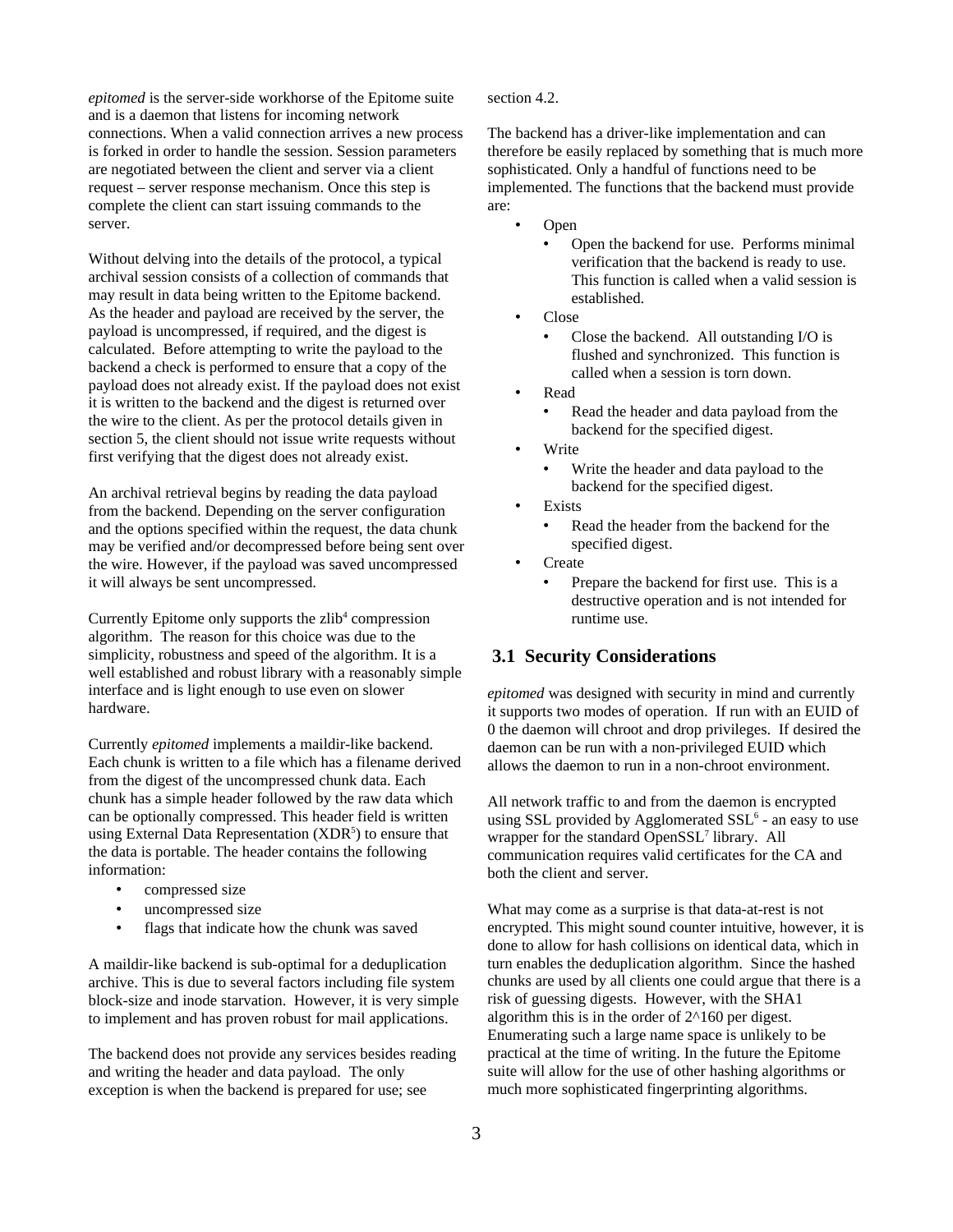*epitomed* is the server-side workhorse of the Epitome suite and is a daemon that listens for incoming network connections. When a valid connection arrives a new process is forked in order to handle the session. Session parameters are negotiated between the client and server via a client request – server response mechanism. Once this step is complete the client can start issuing commands to the server.

Without delving into the details of the protocol, a typical archival session consists of a collection of commands that may result in data being written to the Epitome backend. As the header and payload are received by the server, the payload is uncompressed, if required, and the digest is calculated. Before attempting to write the payload to the backend a check is performed to ensure that a copy of the payload does not already exist. If the payload does not exist it is written to the backend and the digest is returned over the wire to the client. As per the protocol details given in section 5, the client should not issue write requests without first verifying that the digest does not already exist.

An archival retrieval begins by reading the data payload from the backend. Depending on the server configuration and the options specified within the request, the data chunk may be verified and/or decompressed before being sent over the wire. However, if the payload was saved uncompressed it will always be sent uncompressed.

Currently Epitome only supports the zlib<sup>[4](#page-11-3)</sup> compression algorithm. The reason for this choice was due to the simplicity, robustness and speed of the algorithm. It is a well established and robust library with a reasonably simple interface and is light enough to use even on slower hardware.

Currently *epitomed* implements a maildir-like backend. Each chunk is written to a file which has a filename derived from the digest of the uncompressed chunk data. Each chunk has a simple header followed by the raw data which can be optionally compressed. This header field is written using External Data Representation (XDR<sup>[5](#page-11-4)</sup>) to ensure that the data is portable. The header contains the following information:

- compressed size
- uncompressed size
- flags that indicate how the chunk was saved

A maildir-like backend is sub-optimal for a deduplication archive. This is due to several factors including file system block-size and inode starvation. However, it is very simple to implement and has proven robust for mail applications.

The backend does not provide any services besides reading and writing the header and data payload. The only exception is when the backend is prepared for use; see

section 4.2.

The backend has a driver-like implementation and can therefore be easily replaced by something that is much more sophisticated. Only a handful of functions need to be implemented. The functions that the backend must provide are:

- Open
	- Open the backend for use. Performs minimal verification that the backend is ready to use. This function is called when a valid session is established.
- Close
	- Close the backend. All outstanding I/O is flushed and synchronized. This function is called when a session is torn down.
- Read
	- Read the header and data payload from the backend for the specified digest.
- Write
	- Write the header and data payload to the backend for the specified digest.
- **Exists** 
	- Read the header from the backend for the specified digest.
- **Create** 
	- Prepare the backend for first use. This is a destructive operation and is not intended for runtime use.

## **3.1 Security Considerations**

*epitomed* was designed with security in mind and currently it supports two modes of operation. If run with an EUID of 0 the daemon will chroot and drop privileges. If desired the daemon can be run with a non-privileged EUID which allows the daemon to run in a non-chroot environment.

All network traffic to and from the daemon is encrypted using SSL provided by Agglomerated  $\text{SSL}^6$  $\text{SSL}^6$  - an easy to use wrapper for the standard Open $SSL<sup>7</sup>$  $SSL<sup>7</sup>$  $SSL<sup>7</sup>$  library. All communication requires valid certificates for the CA and both the client and server.

What may come as a surprise is that data-at-rest is not encrypted. This might sound counter intuitive, however, it is done to allow for hash collisions on identical data, which in turn enables the deduplication algorithm. Since the hashed chunks are used by all clients one could argue that there is a risk of guessing digests. However, with the SHA1 algorithm this is in the order of  $2^{\wedge}160$  per digest. Enumerating such a large name space is unlikely to be practical at the time of writing. In the future the Epitome suite will allow for the use of other hashing algorithms or much more sophisticated fingerprinting algorithms.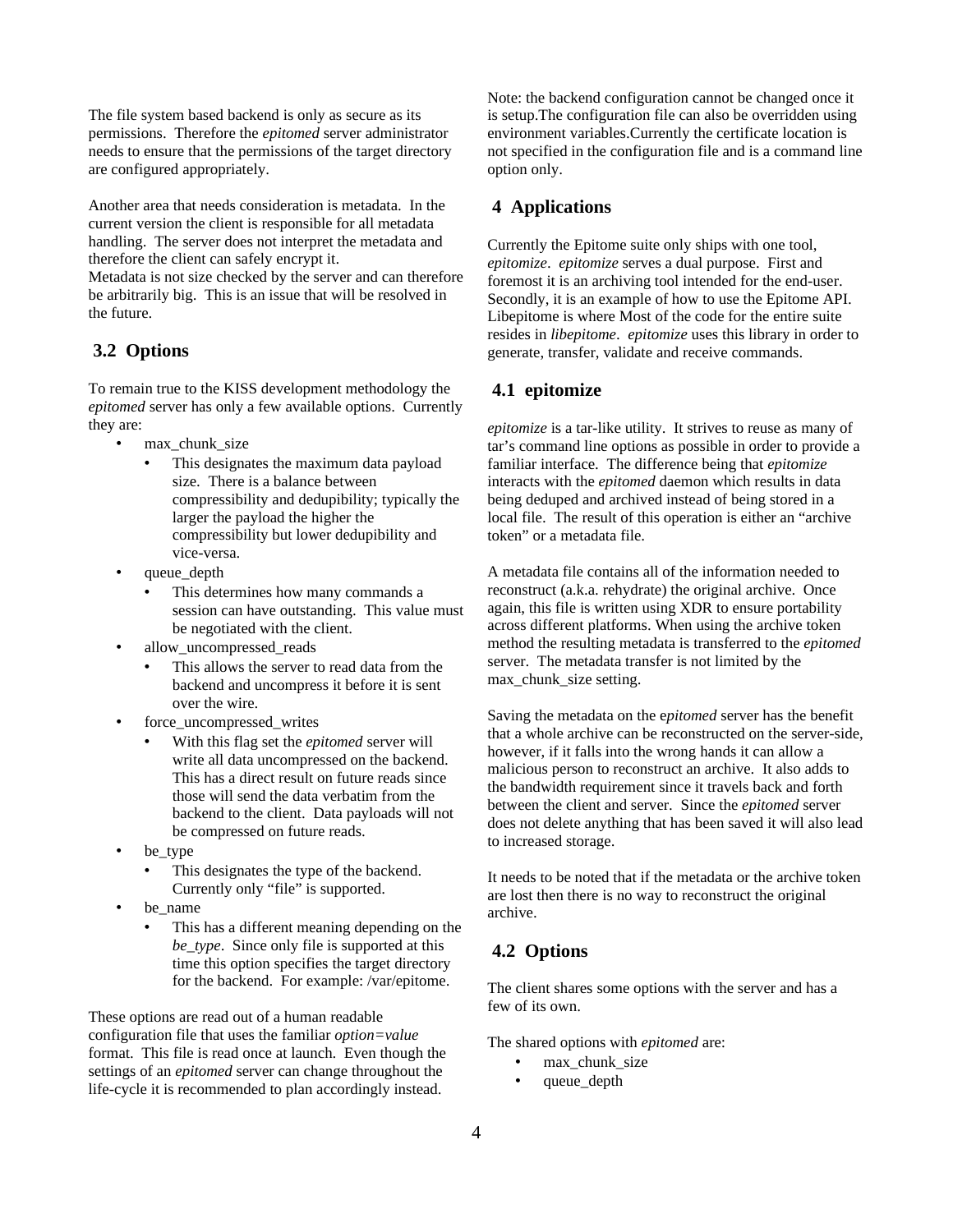The file system based backend is only as secure as its permissions. Therefore the *epitomed* server administrator needs to ensure that the permissions of the target directory are configured appropriately.

Another area that needs consideration is metadata. In the current version the client is responsible for all metadata handling. The server does not interpret the metadata and therefore the client can safely encrypt it.

Metadata is not size checked by the server and can therefore be arbitrarily big. This is an issue that will be resolved in the future.

## **3.2 Options**

To remain true to the KISS development methodology the *epitomed* server has only a few available options. Currently they are:

- max chunk size
	- This designates the maximum data payload size. There is a balance between compressibility and dedupibility; typically the larger the payload the higher the compressibility but lower dedupibility and vice-versa.
- queue\_depth
	- This determines how many commands a session can have outstanding. This value must be negotiated with the client.
- allow uncompressed reads
	- This allows the server to read data from the backend and uncompress it before it is sent over the wire.
- force\_uncompressed\_writes
	- With this flag set the *epitomed* server will write all data uncompressed on the backend. This has a direct result on future reads since those will send the data verbatim from the backend to the client. Data payloads will not be compressed on future reads.
- be\_type
	- This designates the type of the backend. Currently only "file" is supported.
- be\_name
	- This has a different meaning depending on the *be\_type*. Since only file is supported at this time this option specifies the target directory for the backend. For example: /var/epitome.

These options are read out of a human readable configuration file that uses the familiar *option=value* format. This file is read once at launch. Even though the settings of an *epitomed* server can change throughout the life-cycle it is recommended to plan accordingly instead.

Note: the backend configuration cannot be changed once it is setup.The configuration file can also be overridden using environment variables.Currently the certificate location is not specified in the configuration file and is a command line option only.

## **4 Applications**

Currently the Epitome suite only ships with one tool, *epitomize*. *epitomize* serves a dual purpose. First and foremost it is an archiving tool intended for the end-user. Secondly, it is an example of how to use the Epitome API. Libepitome is where Most of the code for the entire suite resides in *libepitome*. *epitomize* uses this library in order to generate, transfer, validate and receive commands.

#### **4.1 epitomize**

*epitomize* is a tar-like utility. It strives to reuse as many of tar's command line options as possible in order to provide a familiar interface. The difference being that *epitomize* interacts with the *epitomed* daemon which results in data being deduped and archived instead of being stored in a local file. The result of this operation is either an "archive token" or a metadata file.

A metadata file contains all of the information needed to reconstruct (a.k.a. rehydrate) the original archive. Once again, this file is written using XDR to ensure portability across different platforms. When using the archive token method the resulting metadata is transferred to the *epitomed* server. The metadata transfer is not limited by the max\_chunk\_size setting.

Saving the metadata on the e*pitomed* server has the benefit that a whole archive can be reconstructed on the server-side, however, if it falls into the wrong hands it can allow a malicious person to reconstruct an archive. It also adds to the bandwidth requirement since it travels back and forth between the client and server. Since the *epitomed* server does not delete anything that has been saved it will also lead to increased storage.

It needs to be noted that if the metadata or the archive token are lost then there is no way to reconstruct the original archive.

## **4.2 Options**

The client shares some options with the server and has a few of its own.

The shared options with *epitomed* are:

- max\_chunk\_size
- queue depth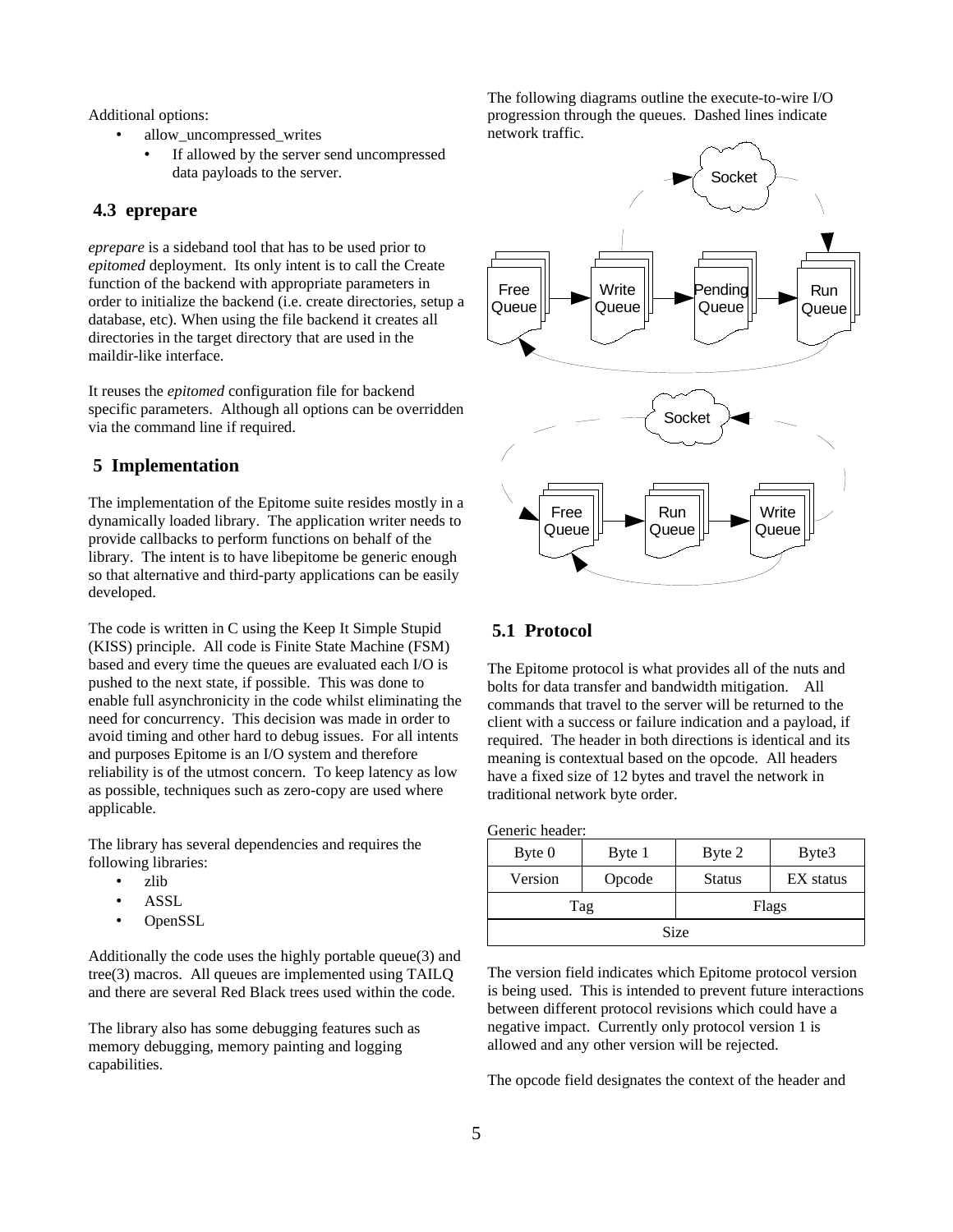Additional options:

- allow uncompressed writes
	- If allowed by the server send uncompressed data payloads to the server.

### **4.3 eprepare**

*eprepare* is a sideband tool that has to be used prior to *epitomed* deployment. Its only intent is to call the Create function of the backend with appropriate parameters in order to initialize the backend (i.e. create directories, setup a database, etc). When using the file backend it creates all directories in the target directory that are used in the maildir-like interface.

It reuses the *epitomed* configuration file for backend specific parameters. Although all options can be overridden via the command line if required.

## **5 Implementation**

The implementation of the Epitome suite resides mostly in a dynamically loaded library. The application writer needs to provide callbacks to perform functions on behalf of the library. The intent is to have libepitome be generic enough so that alternative and third-party applications can be easily developed.

The code is written in C using the Keep It Simple Stupid (KISS) principle. All code is Finite State Machine (FSM) based and every time the queues are evaluated each I/O is pushed to the next state, if possible. This was done to enable full asynchronicity in the code whilst eliminating the need for concurrency. This decision was made in order to avoid timing and other hard to debug issues. For all intents and purposes Epitome is an I/O system and therefore reliability is of the utmost concern. To keep latency as low as possible, techniques such as zero-copy are used where applicable.

The library has several dependencies and requires the following libraries:

- zlib
- **ASSL**
- OpenSSL

Additionally the code uses the highly portable queue(3) and tree(3) macros. All queues are implemented using TAILQ and there are several Red Black trees used within the code.

The library also has some debugging features such as memory debugging, memory painting and logging capabilities.

The following diagrams outline the execute-to-wire I/O progression through the queues. Dashed lines indicate network traffic.



#### **5.1 Protocol**

The Epitome protocol is what provides all of the nuts and bolts for data transfer and bandwidth mitigation. All commands that travel to the server will be returned to the client with a success or failure indication and a payload, if required. The header in both directions is identical and its meaning is contextual based on the opcode. All headers have a fixed size of 12 bytes and travel the network in traditional network byte order.

Generic header:

| Byte 0  | Byte 1 | Byte 2        | Byte3     |  |
|---------|--------|---------------|-----------|--|
| Version | Opcode | <b>Status</b> | EX status |  |
|         | Tag    | Flags         |           |  |
| Size    |        |               |           |  |

The version field indicates which Epitome protocol version is being used. This is intended to prevent future interactions between different protocol revisions which could have a negative impact. Currently only protocol version 1 is allowed and any other version will be rejected.

The opcode field designates the context of the header and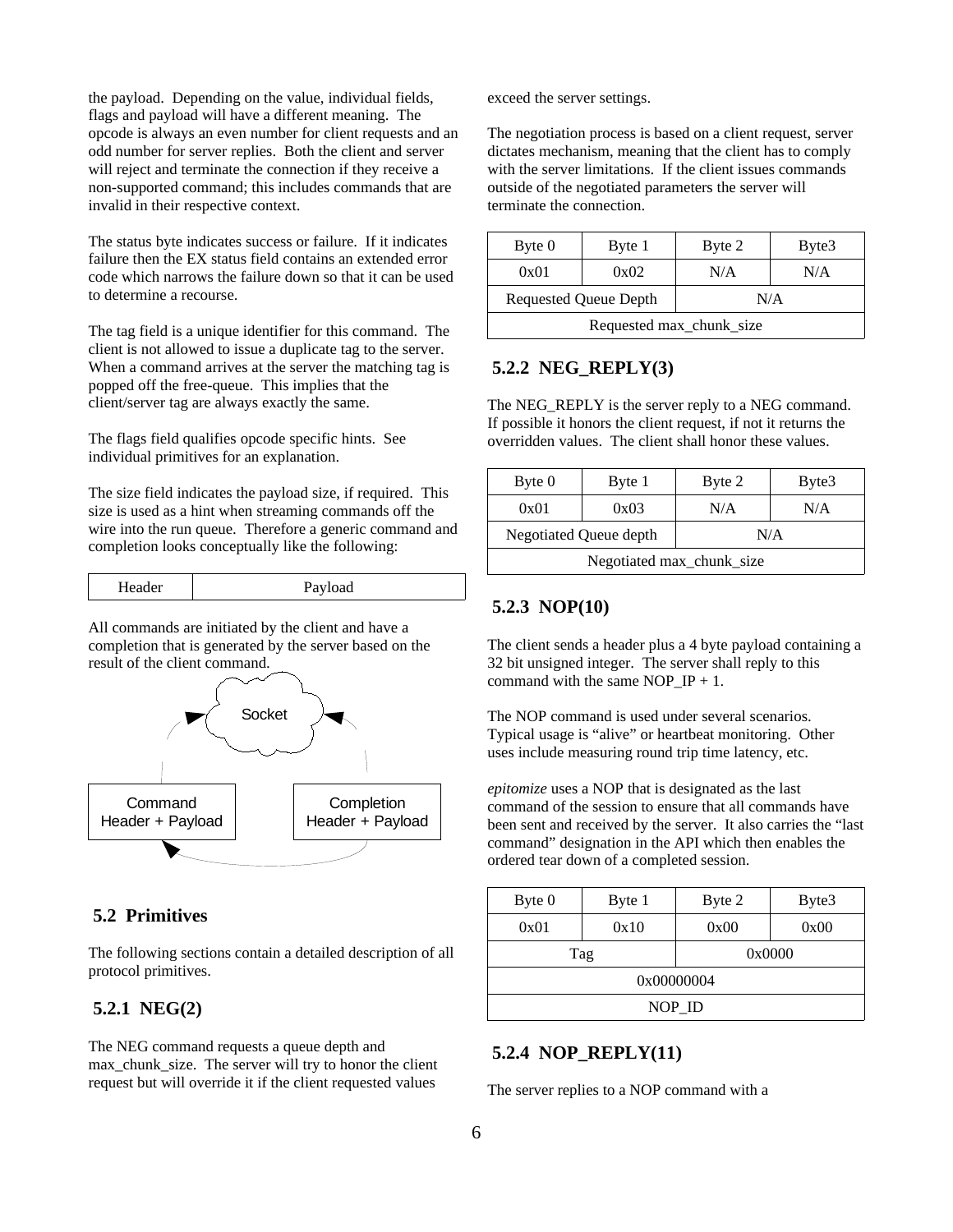the payload. Depending on the value, individual fields, flags and payload will have a different meaning. The opcode is always an even number for client requests and an odd number for server replies. Both the client and server will reject and terminate the connection if they receive a non-supported command; this includes commands that are invalid in their respective context.

The status byte indicates success or failure. If it indicates failure then the EX status field contains an extended error code which narrows the failure down so that it can be used to determine a recourse.

The tag field is a unique identifier for this command. The client is not allowed to issue a duplicate tag to the server. When a command arrives at the server the matching tag is popped off the free-queue. This implies that the client/server tag are always exactly the same.

The flags field qualifies opcode specific hints. See individual primitives for an explanation.

The size field indicates the payload size, if required. This size is used as a hint when streaming commands off the wire into the run queue. Therefore a generic command and completion looks conceptually like the following:

| Header | Payload |
|--------|---------|
|--------|---------|

All commands are initiated by the client and have a completion that is generated by the server based on the result of the client command.



## **5.2 Primitives**

The following sections contain a detailed description of all protocol primitives.

#### **5.2.1 NEG(2)**

The NEG command requests a queue depth and max chunk size. The server will try to honor the client request but will override it if the client requested values

exceed the server settings.

The negotiation process is based on a client request, server dictates mechanism, meaning that the client has to comply with the server limitations. If the client issues commands outside of the negotiated parameters the server will terminate the connection.

| Byte 0                   | Byte 1                | Byte 2 | Byte3 |
|--------------------------|-----------------------|--------|-------|
| 0x01                     | 0x02                  | N/A    | N/A   |
|                          | Requested Queue Depth | N/A    |       |
| Requested max_chunk_size |                       |        |       |

## **5.2.2 NEG\_REPLY(3)**

The NEG REPLY is the server reply to a NEG command. If possible it honors the client request, if not it returns the overridden values. The client shall honor these values.

| Byte 0                        | Byte 1 | Byte 2 | Byte3 |  |
|-------------------------------|--------|--------|-------|--|
| 0x01                          | 0x03   | N/A    | N/A   |  |
| Negotiated Queue depth<br>N/A |        |        |       |  |
| Negotiated max_chunk_size     |        |        |       |  |

## **5.2.3 NOP(10)**

The client sends a header plus a 4 byte payload containing a 32 bit unsigned integer. The server shall reply to this command with the same NOP  $IP + 1$ .

The NOP command is used under several scenarios. Typical usage is "alive" or heartbeat monitoring. Other uses include measuring round trip time latency, etc.

*epitomize* uses a NOP that is designated as the last command of the session to ensure that all commands have been sent and received by the server. It also carries the "last command" designation in the API which then enables the ordered tear down of a completed session.

| Byte 0 | Byte 1 | Byte 2     | Byte3 |  |
|--------|--------|------------|-------|--|
| 0x01   | 0x10   | 0x00       | 0x00  |  |
|        | Tag    | 0x0000     |       |  |
|        |        | 0x00000004 |       |  |
| NOP ID |        |            |       |  |

## **5.2.4 NOP\_REPLY(11)**

The server replies to a NOP command with a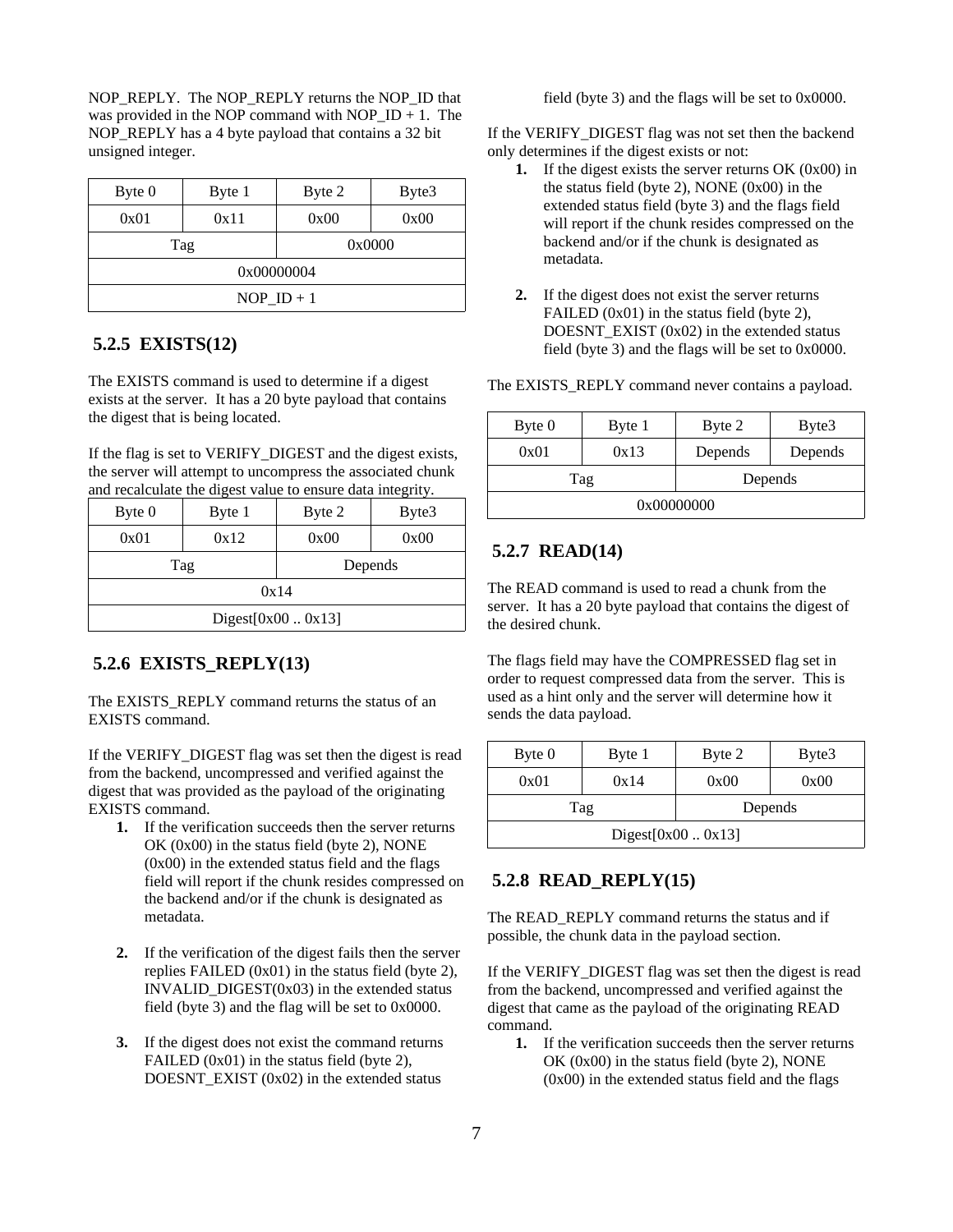NOP\_REPLY. The NOP\_REPLY returns the NOP\_ID that was provided in the NOP command with NOP  $ID + 1$ . The NOP\_REPLY has a 4 byte payload that contains a 32 bit unsigned integer.

| Byte 0                  | Byte 1 | Byte 2 | Byte3  |  |
|-------------------------|--------|--------|--------|--|
| 0x01                    | 0x11   | 0x00   | 0x00   |  |
|                         | Tag    |        | 0x0000 |  |
| 0x00000004              |        |        |        |  |
| $NOP$ <sub>ID</sub> + 1 |        |        |        |  |

## **5.2.5 EXISTS(12)**

The EXISTS command is used to determine if a digest exists at the server. It has a 20 byte payload that contains the digest that is being located.

If the flag is set to VERIFY\_DIGEST and the digest exists, the server will attempt to uncompress the associated chunk and recalculate the digest value to ensure data integrity.

| Byte 0             | Byte 1     | Byte 2  | Byte3 |  |
|--------------------|------------|---------|-------|--|
| 0x01               | 0x12       | 0x00    | 0x00  |  |
|                    | <b>Tag</b> | Depends |       |  |
| 0x14               |            |         |       |  |
| Digest[0x00  0x13] |            |         |       |  |

## **5.2.6 EXISTS\_REPLY(13)**

The EXISTS\_REPLY command returns the status of an EXISTS command.

If the VERIFY\_DIGEST flag was set then the digest is read from the backend, uncompressed and verified against the digest that was provided as the payload of the originating EXISTS command.

- **1.** If the verification succeeds then the server returns OK (0x00) in the status field (byte 2), NONE (0x00) in the extended status field and the flags field will report if the chunk resides compressed on the backend and/or if the chunk is designated as metadata.
- **2.** If the verification of the digest fails then the server replies FAILED (0x01) in the status field (byte 2), INVALID  $DIGEST(0x03)$  in the extended status field (byte 3) and the flag will be set to 0x0000.
- **3.** If the digest does not exist the command returns FAILED (0x01) in the status field (byte 2), DOESNT\_EXIST (0x02) in the extended status

field (byte 3) and the flags will be set to 0x0000.

If the VERIFY\_DIGEST flag was not set then the backend only determines if the digest exists or not:

- **1.** If the digest exists the server returns OK (0x00) in the status field (byte 2), NONE (0x00) in the extended status field (byte 3) and the flags field will report if the chunk resides compressed on the backend and/or if the chunk is designated as metadata.
- **2.** If the digest does not exist the server returns FAILED (0x01) in the status field (byte 2), DOESNT  $EXIST (0x02)$  in the extended status field (byte 3) and the flags will be set to 0x0000.

The EXISTS\_REPLY command never contains a payload.

| Byte 0     | Byte 1 | Byte 2  | Byte3   |  |
|------------|--------|---------|---------|--|
| 0x01       | 0x13   | Depends | Depends |  |
| Tag        |        | Depends |         |  |
| 0x00000000 |        |         |         |  |

## **5.2.7 READ(14)**

The READ command is used to read a chunk from the server. It has a 20 byte payload that contains the digest of the desired chunk.

The flags field may have the COMPRESSED flag set in order to request compressed data from the server. This is used as a hint only and the server will determine how it sends the data payload.

| Byte 0              | Byte 1         | Byte 2 | Byte3 |  |
|---------------------|----------------|--------|-------|--|
| 0x01                | 0x14           | 0x00   | 0x00  |  |
|                     | Depends<br>Tag |        |       |  |
| Digest $[0x000x13]$ |                |        |       |  |

## **5.2.8 READ\_REPLY(15)**

The READ\_REPLY command returns the status and if possible, the chunk data in the payload section.

If the VERIFY\_DIGEST flag was set then the digest is read from the backend, uncompressed and verified against the digest that came as the payload of the originating READ command.

**1.** If the verification succeeds then the server returns OK (0x00) in the status field (byte 2), NONE (0x00) in the extended status field and the flags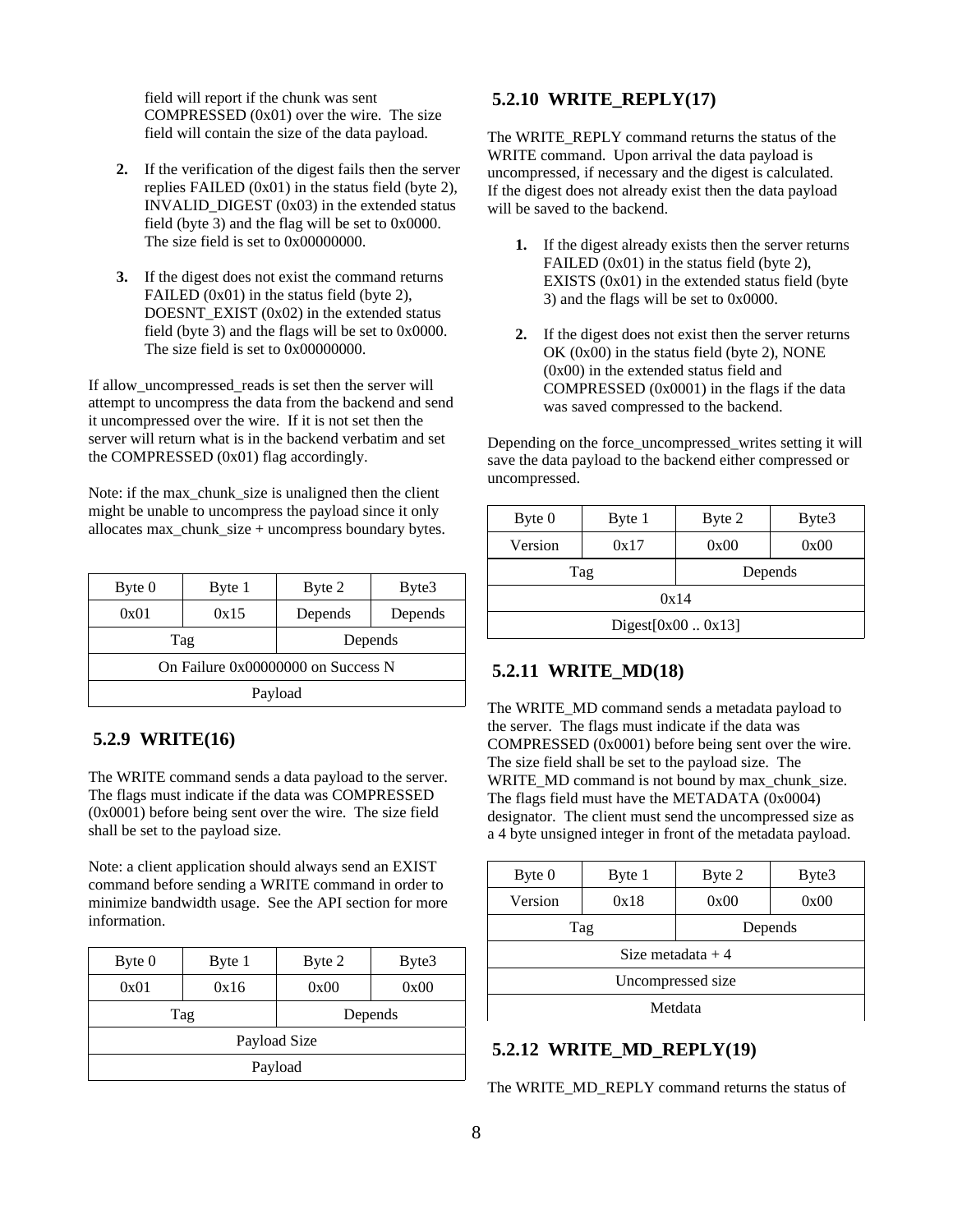field will report if the chunk was sent COMPRESSED (0x01) over the wire. The size field will contain the size of the data payload.

- **2.** If the verification of the digest fails then the server replies FAILED (0x01) in the status field (byte 2), INVALID\_DIGEST (0x03) in the extended status field (byte 3) and the flag will be set to 0x0000. The size field is set to 0x000000000.
- **3.** If the digest does not exist the command returns FAILED (0x01) in the status field (byte 2), DOESNT  $EXIST (0x02)$  in the extended status field (byte 3) and the flags will be set to 0x0000. The size field is set to 0x000000000.

If allow\_uncompressed\_reads is set then the server will attempt to uncompress the data from the backend and send it uncompressed over the wire. If it is not set then the server will return what is in the backend verbatim and set the COMPRESSED (0x01) flag accordingly.

Note: if the max chunk size is unaligned then the client might be unable to uncompress the payload since it only allocates max\_chunk\_size + uncompress boundary bytes.

| Byte 0  | Byte 1 | Byte 2                             | Byte3   |  |
|---------|--------|------------------------------------|---------|--|
| 0x01    | 0x15   | Depends                            | Depends |  |
|         | Tag    | Depends                            |         |  |
|         |        | On Failure 0x00000000 on Success N |         |  |
| Payload |        |                                    |         |  |

## **5.2.9 WRITE(16)**

The WRITE command sends a data payload to the server. The flags must indicate if the data was COMPRESSED (0x0001) before being sent over the wire. The size field shall be set to the payload size.

Note: a client application should always send an EXIST command before sending a WRITE command in order to minimize bandwidth usage. See the API section for more information.

| Byte 0       | Byte 1 | Byte 2  | Byte3 |  |
|--------------|--------|---------|-------|--|
| 0x01         | 0x16   | 0x00    | 0x00  |  |
|              | Tag    | Depends |       |  |
| Payload Size |        |         |       |  |
| Payload      |        |         |       |  |

## **5.2.10 WRITE\_REPLY(17)**

The WRITE\_REPLY command returns the status of the WRITE command. Upon arrival the data payload is uncompressed, if necessary and the digest is calculated. If the digest does not already exist then the data payload will be saved to the backend.

- **1.** If the digest already exists then the server returns FAILED (0x01) in the status field (byte 2), EXISTS (0x01) in the extended status field (byte 3) and the flags will be set to 0x0000.
- **2.** If the digest does not exist then the server returns OK (0x00) in the status field (byte 2), NONE (0x00) in the extended status field and COMPRESSED (0x0001) in the flags if the data was saved compressed to the backend.

Depending on the force\_uncompressed\_writes setting it will save the data payload to the backend either compressed or uncompressed.

| Byte 0             | Byte 1 | Byte 2  | Byte3 |
|--------------------|--------|---------|-------|
| Version            | 0x17   | 0x00    | 0x00  |
| Tag                |        | Depends |       |
| 0x14               |        |         |       |
| Digest[0x00  0x13] |        |         |       |

## **5.2.11 WRITE\_MD(18)**

The WRITE\_MD command sends a metadata payload to the server. The flags must indicate if the data was COMPRESSED (0x0001) before being sent over the wire. The size field shall be set to the payload size. The WRITE\_MD command is not bound by max\_chunk\_size. The flags field must have the METADATA (0x0004) designator. The client must send the uncompressed size as a 4 byte unsigned integer in front of the metadata payload.

| Byte 0             | Byte 1 | Byte 2  | Byte3 |  |  |
|--------------------|--------|---------|-------|--|--|
| Version            | 0x18   | 0x00    | 0x00  |  |  |
| Tag                |        | Depends |       |  |  |
| Size metadata $+4$ |        |         |       |  |  |
| Uncompressed size  |        |         |       |  |  |
| Metdata            |        |         |       |  |  |

# **5.2.12 WRITE\_MD\_REPLY(19)**

The WRITE\_MD\_REPLY command returns the status of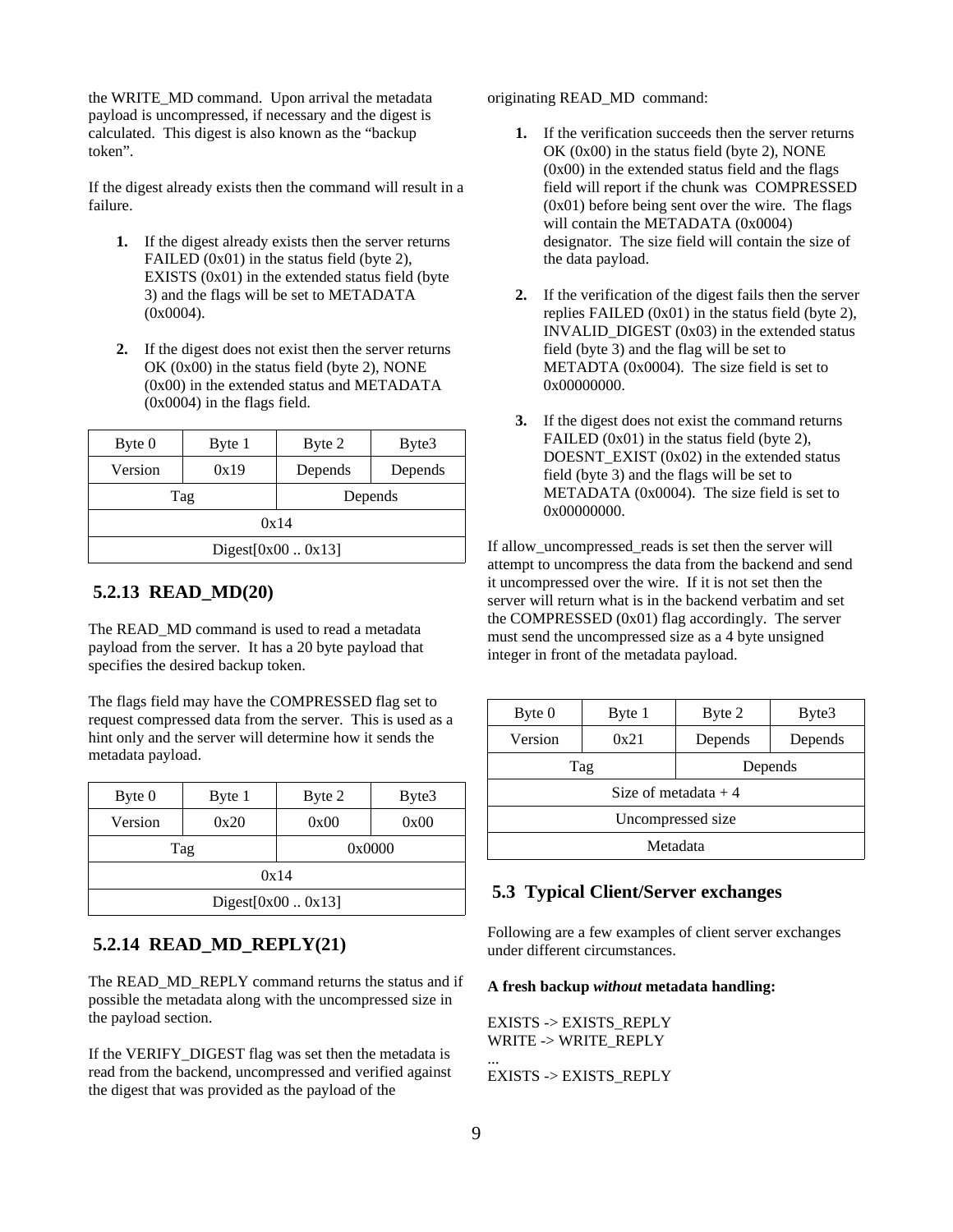the WRITE\_MD command. Upon arrival the metadata payload is uncompressed, if necessary and the digest is calculated. This digest is also known as the "backup token".

If the digest already exists then the command will result in a failure.

- **1.** If the digest already exists then the server returns FAILED (0x01) in the status field (byte 2), EXISTS (0x01) in the extended status field (byte 3) and the flags will be set to METADATA (0x0004).
- **2.** If the digest does not exist then the server returns OK (0x00) in the status field (byte 2), NONE (0x00) in the extended status and METADATA (0x0004) in the flags field.

| Byte 0           | Byte 1 | Byte 2  | Byte3   |  |  |
|------------------|--------|---------|---------|--|--|
| Version          | 0x19   | Depends | Depends |  |  |
| Tag              |        | Depends |         |  |  |
| 0x14             |        |         |         |  |  |
| Digest[0x000x13] |        |         |         |  |  |

#### **5.2.13 READ\_MD(20)**

The READ MD command is used to read a metadata payload from the server. It has a 20 byte payload that specifies the desired backup token.

The flags field may have the COMPRESSED flag set to request compressed data from the server. This is used as a hint only and the server will determine how it sends the metadata payload.

| Byte 0                  | Byte 1 | Byte 2 | Byte3 |  |  |
|-------------------------|--------|--------|-------|--|--|
| Version                 | 0x20   | 0x00   | 0x00  |  |  |
| Tag                     |        | 0x0000 |       |  |  |
| 0x14                    |        |        |       |  |  |
| Digest[ $0x00$ $0x13$ ] |        |        |       |  |  |

## **5.2.14 READ\_MD\_REPLY(21)**

The READ\_MD\_REPLY command returns the status and if possible the metadata along with the uncompressed size in the payload section.

If the VERIFY\_DIGEST flag was set then the metadata is read from the backend, uncompressed and verified against the digest that was provided as the payload of the

originating READ\_MD command:

- **1.** If the verification succeeds then the server returns OK (0x00) in the status field (byte 2), NONE (0x00) in the extended status field and the flags field will report if the chunk was COMPRESSED (0x01) before being sent over the wire. The flags will contain the METADATA (0x0004) designator. The size field will contain the size of the data payload.
- **2.** If the verification of the digest fails then the server replies FAILED (0x01) in the status field (byte 2), INVALID\_DIGEST (0x03) in the extended status field (byte 3) and the flag will be set to METADTA (0x0004). The size field is set to 0x00000000.
- **3.** If the digest does not exist the command returns FAILED (0x01) in the status field (byte 2), DOESNT  $EXIST (0x02)$  in the extended status field (byte 3) and the flags will be set to METADATA (0x0004). The size field is set to 0x00000000.

If allow\_uncompressed\_reads is set then the server will attempt to uncompress the data from the backend and send it uncompressed over the wire. If it is not set then the server will return what is in the backend verbatim and set the COMPRESSED (0x01) flag accordingly. The server must send the uncompressed size as a 4 byte unsigned integer in front of the metadata payload.

| Byte 0                | Byte 1 | Byte 2  | Byte3   |  |  |  |
|-----------------------|--------|---------|---------|--|--|--|
| Version               | 0x21   | Depends | Depends |  |  |  |
| Tag                   |        | Depends |         |  |  |  |
| Size of metadata $+4$ |        |         |         |  |  |  |
| Uncompressed size     |        |         |         |  |  |  |
| Metadata              |        |         |         |  |  |  |

### **5.3 Typical Client/Server exchanges**

Following are a few examples of client server exchanges under different circumstances.

#### **A fresh backup** *without* **metadata handling:**

EXISTS -> EXISTS\_REPLY WRITE -> WRITE\_REPLY ... EXISTS -> EXISTS\_REPLY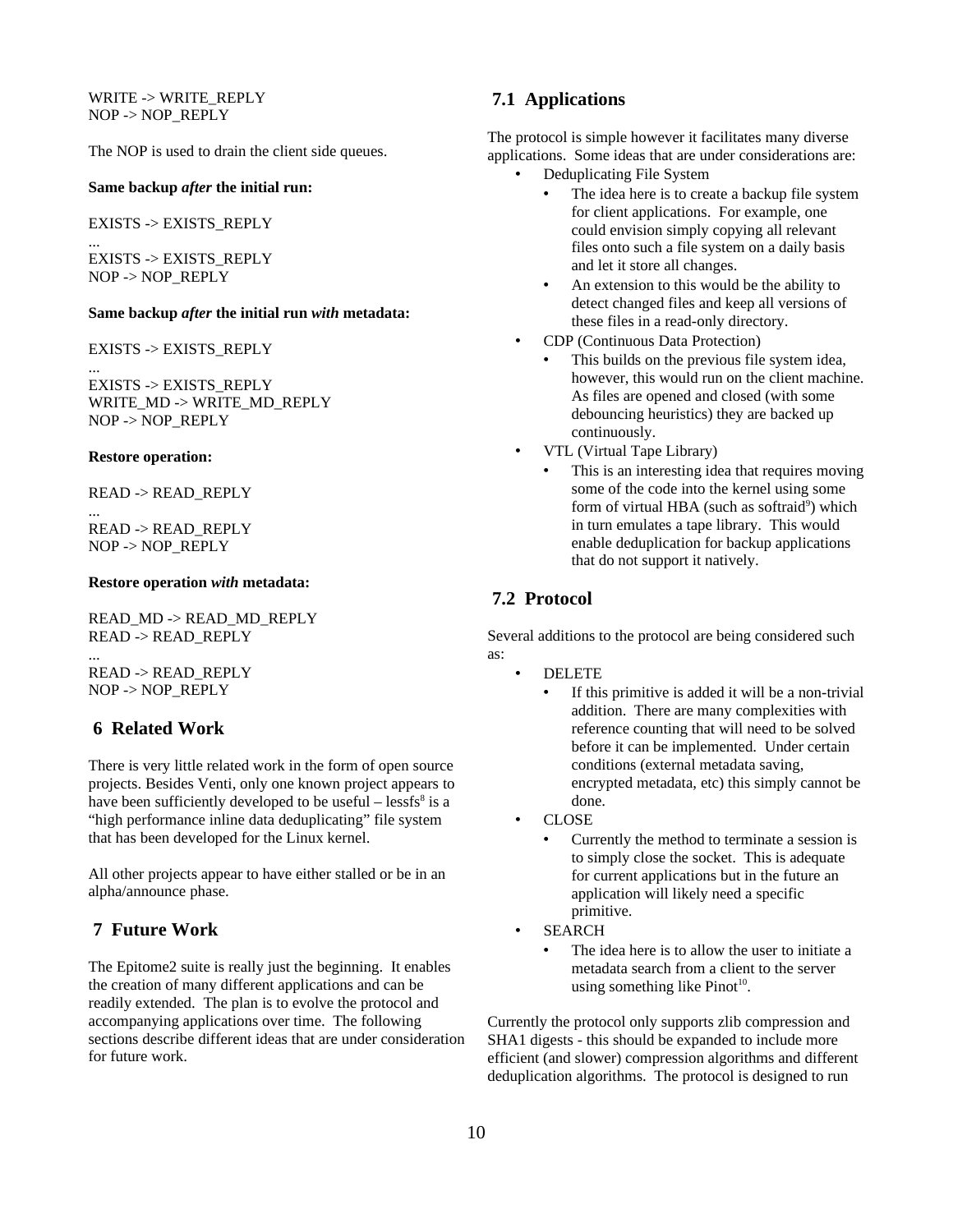WRITE -> WRITE\_REPLY NOP -> NOP\_REPLY

The NOP is used to drain the client side queues.

#### **Same backup** *after* **the initial run:**

EXISTS -> EXISTS\_REPLY

... EXISTS -> EXISTS\_REPLY NOP -> NOP\_REPLY

#### **Same backup** *after* **the initial run** *with* **metadata:**

EXISTS -> EXISTS\_REPLY

EXISTS -> EXISTS\_REPLY WRITE\_MD -> WRITE\_MD\_REPLY NOP -> NOP\_REPLY

#### **Restore operation:**

...

...

READ -> READ\_REPLY

READ -> READ\_REPLY NOP -> NOP\_REPLY

#### **Restore operation** *with* **metadata:**

READ\_MD -> READ\_MD\_REPLY READ -> READ\_REPLY ... READ -> READ\_REPLY

NOP -> NOP\_REPLY

### **6 Related Work**

There is very little related work in the form of open source projects. Besides Venti, only one known project appears to have been sufficiently developed to be useful  $-$  lessfs $8$  is a "high performance inline data deduplicating" file system that has been developed for the Linux kernel.

All other projects appear to have either stalled or be in an alpha/announce phase.

### **7 Future Work**

The Epitome2 suite is really just the beginning. It enables the creation of many different applications and can be readily extended. The plan is to evolve the protocol and accompanying applications over time. The following sections describe different ideas that are under consideration for future work.

#### **7.1 Applications**

The protocol is simple however it facilitates many diverse applications. Some ideas that are under considerations are:

- Deduplicating File System
	- The idea here is to create a backup file system for client applications. For example, one could envision simply copying all relevant files onto such a file system on a daily basis and let it store all changes.
	- An extension to this would be the ability to detect changed files and keep all versions of these files in a read-only directory.
- CDP (Continuous Data Protection)
	- This builds on the previous file system idea, however, this would run on the client machine. As files are opened and closed (with some debouncing heuristics) they are backed up continuously.
- VTL (Virtual Tape Library)
	- This is an interesting idea that requires moving some of the code into the kernel using some form of virtual HBA (such as softraid<sup>[9](#page-11-8)</sup>) which in turn emulates a tape library. This would enable deduplication for backup applications that do not support it natively.

### **7.2 Protocol**

Several additions to the protocol are being considered such as:

- DELETE
	- If this primitive is added it will be a non-trivial addition. There are many complexities with reference counting that will need to be solved before it can be implemented. Under certain conditions (external metadata saving, encrypted metadata, etc) this simply cannot be done.
- CLOSE
	- Currently the method to terminate a session is to simply close the socket. This is adequate for current applications but in the future an application will likely need a specific primitive.
- SEARCH
	- The idea here is to allow the user to initiate a metadata search from a client to the server using something like Pinot $10$ .

Currently the protocol only supports zlib compression and SHA1 digests - this should be expanded to include more efficient (and slower) compression algorithms and different deduplication algorithms. The protocol is designed to run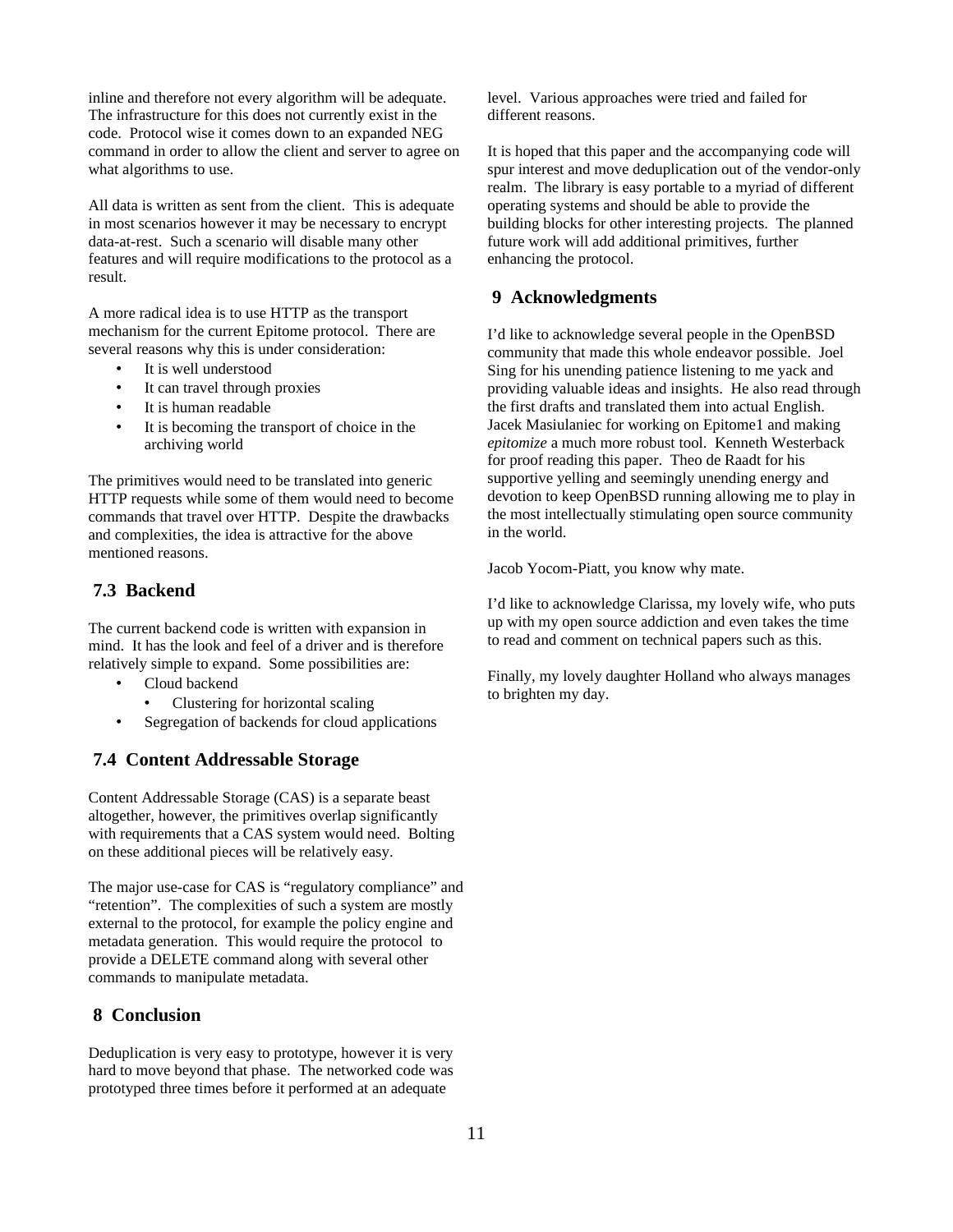inline and therefore not every algorithm will be adequate. The infrastructure for this does not currently exist in the code. Protocol wise it comes down to an expanded NEG command in order to allow the client and server to agree on what algorithms to use.

All data is written as sent from the client. This is adequate in most scenarios however it may be necessary to encrypt data-at-rest. Such a scenario will disable many other features and will require modifications to the protocol as a result.

A more radical idea is to use HTTP as the transport mechanism for the current Epitome protocol. There are several reasons why this is under consideration:

- It is well understood
- It can travel through proxies
- It is human readable
- It is becoming the transport of choice in the archiving world

The primitives would need to be translated into generic HTTP requests while some of them would need to become commands that travel over HTTP. Despite the drawbacks and complexities, the idea is attractive for the above mentioned reasons.

## **7.3 Backend**

The current backend code is written with expansion in mind. It has the look and feel of a driver and is therefore relatively simple to expand. Some possibilities are:

- Cloud backend
	- Clustering for horizontal scaling
- Segregation of backends for cloud applications

## **7.4 Content Addressable Storage**

Content Addressable Storage (CAS) is a separate beast altogether, however, the primitives overlap significantly with requirements that a CAS system would need. Bolting on these additional pieces will be relatively easy.

The major use-case for CAS is "regulatory compliance" and "retention". The complexities of such a system are mostly external to the protocol, for example the policy engine and metadata generation. This would require the protocol to provide a DELETE command along with several other commands to manipulate metadata.

## **8 Conclusion**

Deduplication is very easy to prototype, however it is very hard to move beyond that phase. The networked code was prototyped three times before it performed at an adequate

level. Various approaches were tried and failed for different reasons.

It is hoped that this paper and the accompanying code will spur interest and move deduplication out of the vendor-only realm. The library is easy portable to a myriad of different operating systems and should be able to provide the building blocks for other interesting projects. The planned future work will add additional primitives, further enhancing the protocol.

## **9 Acknowledgments**

I'd like to acknowledge several people in the OpenBSD community that made this whole endeavor possible. Joel Sing for his unending patience listening to me yack and providing valuable ideas and insights. He also read through the first drafts and translated them into actual English. Jacek Masiulaniec for working on Epitome1 and making *epitomize* a much more robust tool. Kenneth Westerback for proof reading this paper. Theo de Raadt for his supportive yelling and seemingly unending energy and devotion to keep OpenBSD running allowing me to play in the most intellectually stimulating open source community in the world.

Jacob Yocom-Piatt, you know why mate.

I'd like to acknowledge Clarissa, my lovely wife, who puts up with my open source addiction and even takes the time to read and comment on technical papers such as this.

Finally, my lovely daughter Holland who always manages to brighten my day.